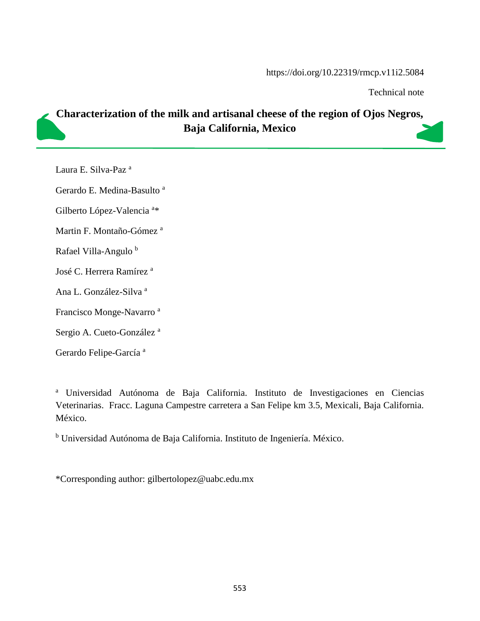#### https://doi.org/10.22319/rmcp.v11i2.5084

Technical note

# **Characterization of the milk and artisanal cheese of the region of Ojos Negros, Baja California, Mexico**

Laura E. Silva-Paz <sup>a</sup>

Gerardo E. Medina-Basulto<sup>a</sup>

Gilberto López-Valencia<sup>a\*</sup>

Martin F. Montaño-Gómez<sup>a</sup>

Rafael Villa-Angulo<sup>b</sup>

José C. Herrera Ramírez<sup>a</sup>

Ana L. González-Silva <sup>a</sup>

Francisco Monge-Navarro <sup>a</sup>

Sergio A. Cueto-González<sup>a</sup>

Gerardo Felipe-García<sup>a</sup>

<sup>a</sup> Universidad Autónoma de Baja California. Instituto de Investigaciones en Ciencias Veterinarias. Fracc. Laguna Campestre carretera a San Felipe km 3.5, Mexicali, Baja California. México.

<sup>b</sup> Universidad Autónoma de Baja California. Instituto de Ingeniería. México.

\*Corresponding author: [gilbertolopez@uabc.edu.mx](mailto:gilbertolopez@uabc.edu.mx)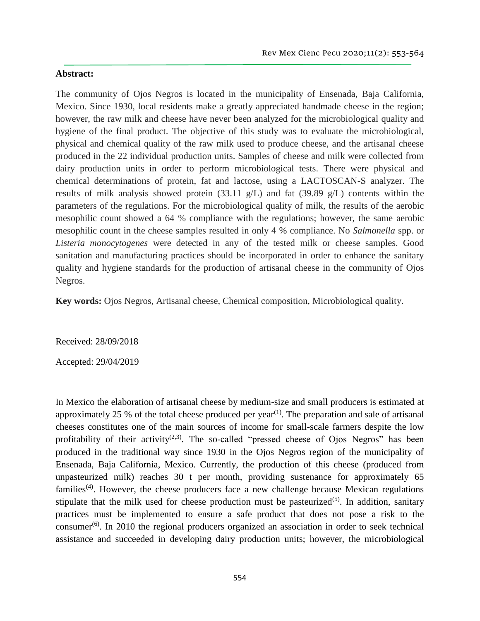#### **Abstract:**

The community of Ojos Negros is located in the municipality of Ensenada, Baja California, Mexico. Since 1930, local residents make a greatly appreciated handmade cheese in the region; however, the raw milk and cheese have never been analyzed for the microbiological quality and hygiene of the final product. The objective of this study was to evaluate the microbiological, physical and chemical quality of the raw milk used to produce cheese, and the artisanal cheese produced in the 22 individual production units. Samples of cheese and milk were collected from dairy production units in order to perform microbiological tests. There were physical and chemical determinations of protein, fat and lactose, using a LACTOSCAN-S analyzer. The results of milk analysis showed protein (33.11 g/L) and fat (39.89 g/L) contents within the parameters of the regulations. For the microbiological quality of milk, the results of the aerobic mesophilic count showed a 64 % compliance with the regulations; however, the same aerobic mesophilic count in the cheese samples resulted in only 4 % compliance. No *Salmonella* spp. or *Listeria monocytogenes* were detected in any of the tested milk or cheese samples. Good sanitation and manufacturing practices should be incorporated in order to enhance the sanitary quality and hygiene standards for the production of artisanal cheese in the community of Ojos Negros.

**Key words:** Ojos Negros, Artisanal cheese, Chemical composition, Microbiological quality.

Received: 28/09/2018

Accepted: 29/04/2019

In Mexico the elaboration of artisanal cheese by medium-size and small producers is estimated at approximately 25 % of the total cheese produced per year<sup>(1)</sup>. The preparation and sale of artisanal cheeses constitutes one of the main sources of income for small-scale farmers despite the low profitability of their activity<sup>(2,3)</sup>. The so-called "pressed cheese of Ojos Negros" has been produced in the traditional way since 1930 in the Ojos Negros region of the municipality of Ensenada, Baja California, Mexico. Currently, the production of this cheese (produced from unpasteurized milk) reaches 30 t per month, providing sustenance for approximately 65 families<sup> $(4)$ </sup>. However, the cheese producers face a new challenge because Mexican regulations stipulate that the milk used for cheese production must be pasteurized<sup> $(5)$ </sup>. In addition, sanitary practices must be implemented to ensure a safe product that does not pose a risk to the consumer<sup> $(6)$ </sup>. In 2010 the regional producers organized an association in order to seek technical assistance and succeeded in developing dairy production units; however, the microbiological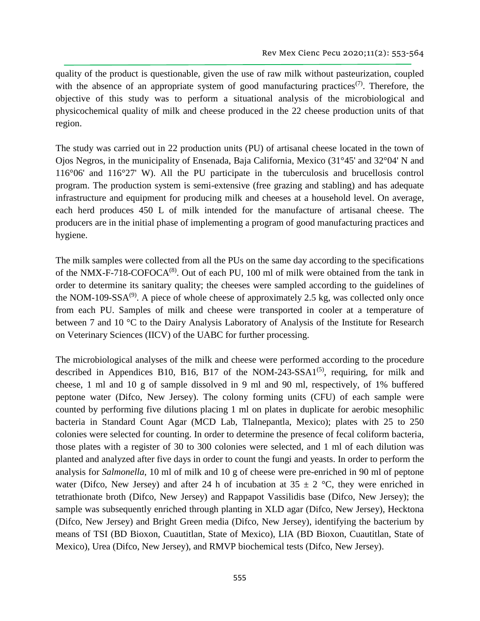quality of the product is questionable, given the use of raw milk without pasteurization, coupled with the absence of an appropriate system of good manufacturing practices<sup> $(7)$ </sup>. Therefore, the objective of this study was to perform a situational analysis of the microbiological and physicochemical quality of milk and cheese produced in the 22 cheese production units of that region.

The study was carried out in 22 production units (PU) of artisanal cheese located in the town of Ojos Negros, in the municipality of Ensenada, Baja California, Mexico (31°45' and 32°04' N and 116°06' and 116°27' W). All the PU participate in the tuberculosis and brucellosis control program. The production system is semi-extensive (free grazing and stabling) and has adequate infrastructure and equipment for producing milk and cheeses at a household level. On average, each herd produces 450 L of milk intended for the manufacture of artisanal cheese. The producers are in the initial phase of implementing a program of good manufacturing practices and hygiene.

The milk samples were collected from all the PUs on the same day according to the specifications of the NMX-F-718-COFOCA<sup>(8)</sup>. Out of each PU, 100 ml of milk were obtained from the tank in order to determine its sanitary quality; the cheeses were sampled according to the guidelines of the NOM-109-SSA $^{(9)}$ . A piece of whole cheese of approximately 2.5 kg, was collected only once from each PU. Samples of milk and cheese were transported in cooler at a temperature of between 7 and 10 °C to the Dairy Analysis Laboratory of Analysis of the Institute for Research on Veterinary Sciences (IICV) of the UABC for further processing.

The microbiological analyses of the milk and cheese were performed according to the procedure described in Appendices B10, B16, B17 of the NOM-243-SSA1 $^{(5)}$ , requiring, for milk and cheese, 1 ml and 10 g of sample dissolved in 9 ml and 90 ml, respectively, of 1% buffered peptone water (Difco, New Jersey). The colony forming units (CFU) of each sample were counted by performing five dilutions placing 1 ml on plates in duplicate for aerobic mesophilic bacteria in Standard Count Agar (MCD Lab, Tlalnepantla, Mexico); plates with 25 to 250 colonies were selected for counting. In order to determine the presence of fecal coliform bacteria, those plates with a register of 30 to 300 colonies were selected, and 1 ml of each dilution was planted and analyzed after five days in order to count the fungi and yeasts. In order to perform the analysis for *Salmonella*, 10 ml of milk and 10 g of cheese were pre-enriched in 90 ml of peptone water (Difco, New Jersey) and after 24 h of incubation at  $35 \pm 2$  °C, they were enriched in tetrathionate broth (Difco, New Jersey) and Rappapot Vassilidis base (Difco, New Jersey); the sample was subsequently enriched through planting in XLD agar (Difco, New Jersey), Hecktona (Difco, New Jersey) and Bright Green media (Difco, New Jersey), identifying the bacterium by means of TSI (BD Bioxon, Cuautitlan, State of Mexico), LIA (BD Bioxon, Cuautitlan, State of Mexico), Urea (Difco, New Jersey), and RMVP biochemical tests (Difco, New Jersey).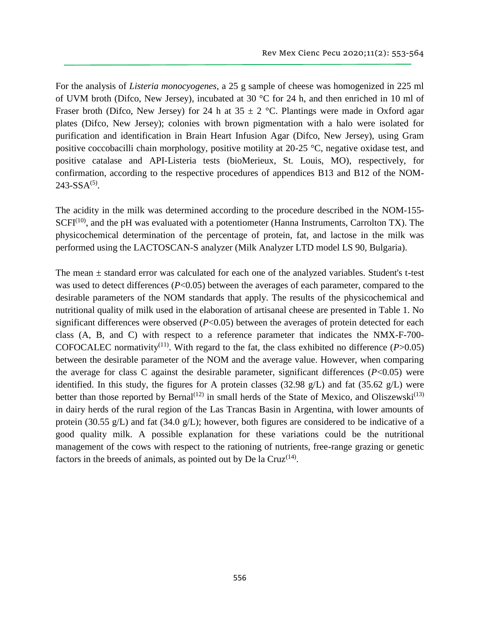For the analysis of *Listeria monocyogenes*, a 25 g sample of cheese was homogenized in 225 ml of UVM broth (Difco, New Jersey), incubated at 30 °C for 24 h, and then enriched in 10 ml of Fraser broth (Difco, New Jersey) for 24 h at  $35 \pm 2$  °C. Plantings were made in Oxford agar plates (Difco, New Jersey); colonies with brown pigmentation with a halo were isolated for purification and identification in Brain Heart Infusion Agar (Difco, New Jersey), using Gram positive coccobacilli chain morphology, positive motility at 20-25 °C, negative oxidase test, and positive catalase and API-Listeria tests (bioMerieux, St. Louis, MO), respectively, for confirmation, according to the respective procedures of appendices B13 and B12 of the NOM- $243-SSA<sup>(5)</sup>$ .

The acidity in the milk was determined according to the procedure described in the NOM-155-  $SCFI<sup>(10)</sup>$ , and the pH was evaluated with a potentiometer (Hanna Instruments, Carrolton TX). The physicochemical determination of the percentage of protein, fat, and lactose in the milk was performed using the LACTOSCAN-S analyzer (Milk Analyzer LTD model LS 90, Bulgaria).

The mean  $\pm$  standard error was calculated for each one of the analyzed variables. Student's t-test was used to detect differences  $(P<0.05)$  between the averages of each parameter, compared to the desirable parameters of the NOM standards that apply. The results of the physicochemical and nutritional quality of milk used in the elaboration of artisanal cheese are presented in Table 1. No significant differences were observed (*P*<0.05) between the averages of protein detected for each class (A, B, and C) with respect to a reference parameter that indicates the NMX-F-700- COFOCALEC normativity<sup>(11)</sup>. With regard to the fat, the class exhibited no difference ( $P > 0.05$ ) between the desirable parameter of the NOM and the average value. However, when comparing the average for class C against the desirable parameter, significant differences (*P*<0.05) were identified. In this study, the figures for A protein classes (32.98 g/L) and fat (35.62 g/L) were better than those reported by Bernal<sup>(12)</sup> in small herds of the State of Mexico, and Oliszewski<sup>(13)</sup> in dairy herds of the rural region of the Las Trancas Basin in Argentina, with lower amounts of protein (30.55 g/L) and fat (34.0 g/L); however, both figures are considered to be indicative of a good quality milk. A possible explanation for these variations could be the nutritional management of the cows with respect to the rationing of nutrients, free-range grazing or genetic factors in the breeds of animals, as pointed out by De la Cruz $(14)$ .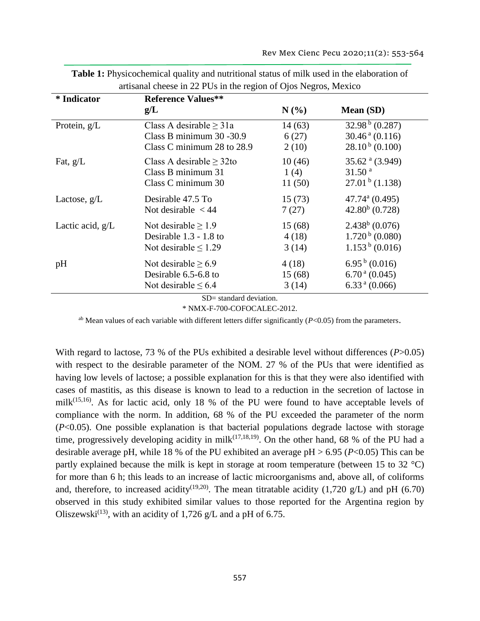| <i>*</i> Indicator | <b>Reference Values**</b>    |         |                              |
|--------------------|------------------------------|---------|------------------------------|
|                    | g/L                          | $N(\%)$ | <b>Mean</b> (SD)             |
| Protein, $g/L$     | Class A desirable $\geq$ 31a | 14(63)  | 32.98 $\frac{b}{0.287}$      |
|                    | Class B minimum 30 - 30.9    | 6(27)   | $30.46^{\text{ a}} (0.116)$  |
|                    | Class C minimum 28 to 28.9   | 2(10)   | $28.10b$ (0.100)             |
| Fat, $g/L$         | Class A desirable $> 32$ to  | 10(46)  | 35.62 $^{a}$ (3.949)         |
|                    | Class B minimum 31           | 1(4)    | 31.50 <sup>a</sup>           |
|                    | Class C minimum 30           | 11(50)  | $27.01b$ (1.138)             |
| Lactose, $g/L$     | Desirable 47.5 To            | 15(73)  | $47.74$ <sup>a</sup> (0.495) |
|                    | Not desirable $<$ 44         | 7(27)   | $42.80b$ (0.728)             |
| Lactic acid, $g/L$ | Not desirable $\geq 1.9$     | 15(68)  | $2.438b$ (0.076)             |
|                    | Desirable $1.3 - 1.8$ to     | 4(18)   | $1.720b$ (0.080)             |
|                    | Not desirable $\leq 1.29$    | 3(14)   | $1.153b$ (0.016)             |
| pH                 | Not desirable $> 6.9$        | 4(18)   | $6.95^{b} (0.016)$           |
|                    | Desirable 6.5-6.8 to         | 15(68)  | $6.70a$ (0.045)              |
|                    | Not desirable $\leq 6.4$     | 3(14)   | $6.33a$ (0.066)              |

**Table 1:** Physicochemical quality and nutritional status of milk used in the elaboration of artisanal cheese in 22 PUs in the region of Ojos Negros, Mexico

SD= standard deviation.

\* NMX-F-700-COFOCALEC-2012.

ab Mean values of each variable with different letters differ significantly (*P*<0.05) from the parameters.

With regard to lactose, 73 % of the PUs exhibited a desirable level without differences (*P*>0.05) with respect to the desirable parameter of the NOM. 27 % of the PUs that were identified as having low levels of lactose; a possible explanation for this is that they were also identified with cases of mastitis, as this disease is known to lead to a reduction in the secretion of lactose in milk $^{(15,16)}$ . As for lactic acid, only 18 % of the PU were found to have acceptable levels of compliance with the norm. In addition, 68 % of the PU exceeded the parameter of the norm (*P*<0.05). One possible explanation is that bacterial populations degrade lactose with storage time, progressively developing acidity in milk<sup> $(17,18,19)$ </sup>. On the other hand, 68 % of the PU had a desirable average pH, while 18 % of the PU exhibited an average pH > 6.95 (*P*<0.05) This can be partly explained because the milk is kept in storage at room temperature (between 15 to 32 °C) for more than 6 h; this leads to an increase of lactic microorganisms and, above all, of coliforms and, therefore, to increased acidity<sup>(19,20)</sup>. The mean titratable acidity (1,720 g/L) and pH (6.70) observed in this study exhibited similar values to those reported for the Argentina region by Oliszewski<sup>(13)</sup>, with an acidity of 1,726 g/L and a pH of 6.75.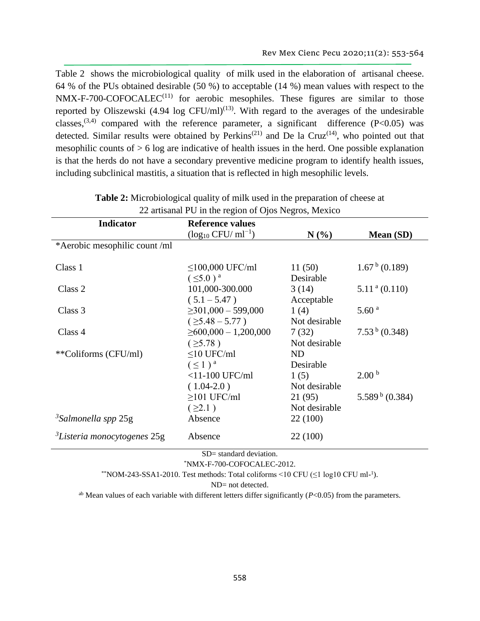Table 2 shows the microbiological quality of milk used in the elaboration of artisanal cheese. 64 % of the PUs obtained desirable (50 %) to acceptable (14 %) mean values with respect to the  $NMX-F-700-COFOCALEC<sup>(11)</sup>$  for aerobic mesophiles. These figures are similar to those reported by Oliszewski  $(4.94 \log CFU/ml)^{(13)}$ . With regard to the averages of the undesirable classes,<sup>(3,4)</sup> compared with the reference parameter, a significant difference (P<0.05) was detected. Similar results were obtained by Perkins<sup>(21)</sup> and De la Cruz<sup>(14)</sup>, who pointed out that mesophilic counts of  $> 6$  log are indicative of health issues in the herd. One possible explanation is that the herds do not have a secondary preventive medicine program to identify health issues, including subclinical mastitis, a situation that is reflected in high mesophilic levels.

| <b>Indicator</b>                    | <b>Reference values</b>    |               |                           |
|-------------------------------------|----------------------------|---------------|---------------------------|
|                                     | $(log_{10} CFU/ml^{-1})$   | $N(\%)$       | Mean (SD)                 |
| *Aerobic mesophilic count/ml        |                            |               |                           |
| Class 1                             | $≤100,000$ UFC/ml          | 11(50)        | $1.67^{b}$ (0.189)        |
|                                     | $(\leq 5.0)^a$             | Desirable     |                           |
| Class 2                             | 101,000-300.000            | 3(14)         | $5.11a$ (0.110)           |
|                                     | $(5.1 - 5.47)$             | Acceptable    |                           |
| Class 3                             | $\geq$ 301,000 - 599,000   | 1(4)          | 5.60 <sup>a</sup>         |
|                                     | $( \geq 5.48 - 5.77 )$     | Not desirable |                           |
| Class 4                             | $\geq 600,000 - 1,200,000$ | 7(32)         | 7.53 <sup>b</sup> (0.348) |
|                                     | $( \geq 5.78 )$            | Not desirable |                           |
| **Coliforms (CFU/ml)                | $\leq$ 10 UFC/ml           | <b>ND</b>     |                           |
|                                     | $(\leq 1)^a$               | Desirable     |                           |
|                                     | $<$ 11-100 UFC/ml          | 1(5)          | 2.00 <sup>b</sup>         |
|                                     | $(1.04-2.0)$               | Not desirable |                           |
|                                     | $\geq$ 101 UFC/ml          | 21(95)        | $5.589^{b}$ (0.384)       |
|                                     | (22.1)                     | Not desirable |                           |
| $3$ Salmonella spp 25g              | Absence                    | 22 (100)      |                           |
| ${}^{3}$ Listeria monocytogenes 25g | Absence                    | 22 (100)      |                           |

| <b>Table 2:</b> Microbiological quality of milk used in the preparation of cheese at |  |
|--------------------------------------------------------------------------------------|--|
| 22 artisanal PU in the region of Ojos Negros, Mexico                                 |  |

SD= standard deviation.

\*NMX-F-700-COFOCALEC-2012.

\*\* NOM-243-SSA1-2010. Test methods: Total coliforms <10 CFU  $(\leq 1 \text{ log} 10 \text{ CFU} \text{ ml-}^1)$ .

ND= not detected.

ab Mean values of each variable with different letters differ significantly (*P*<0.05) from the parameters.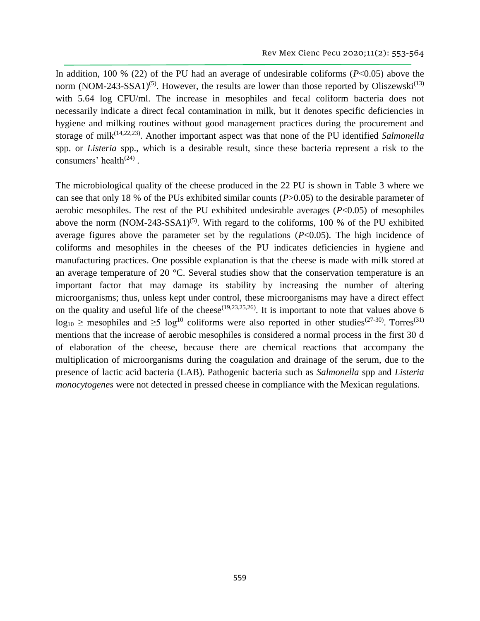In addition, 100 % (22) of the PU had an average of undesirable coliforms  $(P<0.05)$  above the norm (NOM-243-SSA1)<sup>(5)</sup>. However, the results are lower than those reported by Oliszewski<sup>(13)</sup> with 5.64 log CFU/ml. The increase in mesophiles and fecal coliform bacteria does not necessarily indicate a direct fecal contamination in milk, but it denotes specific deficiencies in hygiene and milking routines without good management practices during the procurement and storage of milk<sup>(14,22,23)</sup>. Another important aspect was that none of the PU identified *Salmonella* spp. or *Listeria* spp., which is a desirable result, since these bacteria represent a risk to the consumers' health<sup> $(24)$ </sup>.

The microbiological quality of the cheese produced in the 22 PU is shown in Table 3 where we can see that only 18 % of the PUs exhibited similar counts (*P*>0.05) to the desirable parameter of aerobic mesophiles. The rest of the PU exhibited undesirable averages  $(P<0.05)$  of mesophiles above the norm  $(NOM-243-SSA1)^{(5)}$ . With regard to the coliforms, 100 % of the PU exhibited average figures above the parameter set by the regulations (*P*<0.05). The high incidence of coliforms and mesophiles in the cheeses of the PU indicates deficiencies in hygiene and manufacturing practices. One possible explanation is that the cheese is made with milk stored at an average temperature of 20 °C. Several studies show that the conservation temperature is an important factor that may damage its stability by increasing the number of altering microorganisms; thus, unless kept under control, these microorganisms may have a direct effect on the quality and useful life of the cheese<sup> $(19,23,25,26)$ </sup>. It is important to note that values above 6  $log_{10} \ge$  mesophiles and  $\geq 5$  log<sup>10</sup> coliforms were also reported in other studies<sup>(27-30)</sup>. Torres<sup>(31)</sup> mentions that the increase of aerobic mesophiles is considered a normal process in the first 30 d of elaboration of the cheese, because there are chemical reactions that accompany the multiplication of microorganisms during the coagulation and drainage of the serum, due to the presence of lactic acid bacteria (LAB). Pathogenic bacteria such as *Salmonella* spp and *Listeria monocytogenes* were not detected in pressed cheese in compliance with the Mexican regulations.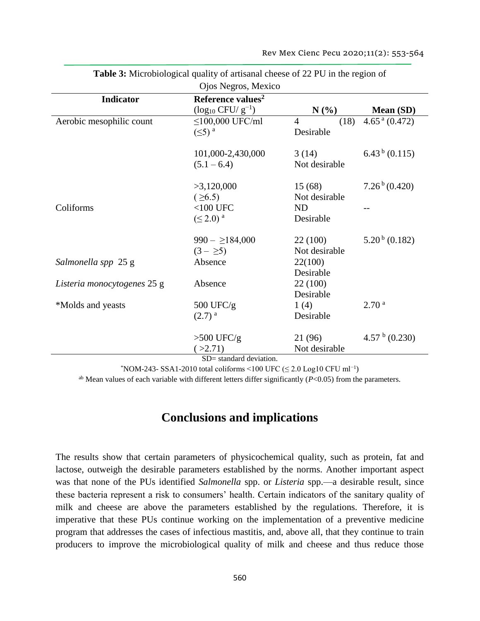| Ojos Negros, Mexico         |                               |                        |                               |  |  |  |
|-----------------------------|-------------------------------|------------------------|-------------------------------|--|--|--|
| <b>Indicator</b>            | Reference values <sup>2</sup> |                        |                               |  |  |  |
|                             | $(\log_{10} CFU/g^{-1})$      | $N(\%)$                | Mean (SD)                     |  |  |  |
| Aerobic mesophilic count    | $\leq$ 100,000 UFC/ml         | $\overline{4}$<br>(18) | $4.65$ <sup>a</sup> $(0.472)$ |  |  |  |
|                             | $(\leq)$ <sup>a</sup>         | Desirable              |                               |  |  |  |
|                             | 101,000-2,430,000             | 3(14)                  | $6.43^{b}$ (0.115)            |  |  |  |
|                             | $(5.1 - 6.4)$                 | Not desirable          |                               |  |  |  |
|                             | >3,120,000                    | 15(68)                 | $7.26^{\mathrm{b}}(0.420)$    |  |  |  |
|                             | $( \ge 6.5)$                  | Not desirable          |                               |  |  |  |
| Coliforms                   | $<$ 100 UFC                   | ND                     |                               |  |  |  |
|                             | $(\leq 2.0)^a$                | Desirable              |                               |  |  |  |
|                             | $990 - \ge 184,000$           | 22 (100)               | $5.20^{b}$ (0.182)            |  |  |  |
|                             | $(3 - \geq 5)$                | Not desirable          |                               |  |  |  |
| Salmonella spp 25 g         | Absence                       | 22(100)                |                               |  |  |  |
|                             |                               | Desirable              |                               |  |  |  |
| Listeria monocytogenes 25 g | Absence                       | 22 (100)               |                               |  |  |  |
|                             |                               | Desirable              |                               |  |  |  |
| *Molds and yeasts           | 500 UFC/g                     | 1(4)                   | 2.70 <sup>a</sup>             |  |  |  |
|                             | $(2.7)^{a}$                   | Desirable              |                               |  |  |  |
|                             | $>500$ UFC/g                  | 21 (96)                | 4.57 $\frac{b}{c}$ (0.230)    |  |  |  |
|                             | ( >2.71)                      | Not desirable          |                               |  |  |  |
| $SD =$ standard deviation.  |                               |                        |                               |  |  |  |

**Table 3:** Microbiological quality of artisanal cheese of 22 PU in the region of

 $*$ NOM-243- SSA1-2010 total coliforms <100 UFC ( $\leq$  2.0 Log10 CFU ml<sup>-1</sup>)

ab Mean values of each variable with different letters differ significantly (*P*<0.05) from the parameters.

## **Conclusions and implications**

The results show that certain parameters of physicochemical quality, such as protein, fat and lactose, outweigh the desirable parameters established by the norms. Another important aspect was that none of the PUs identified *Salmonella* spp. or *Listeria* spp.—a desirable result, since these bacteria represent a risk to consumers' health. Certain indicators of the sanitary quality of milk and cheese are above the parameters established by the regulations. Therefore, it is imperative that these PUs continue working on the implementation of a preventive medicine program that addresses the cases of infectious mastitis, and, above all, that they continue to train producers to improve the microbiological quality of milk and cheese and thus reduce those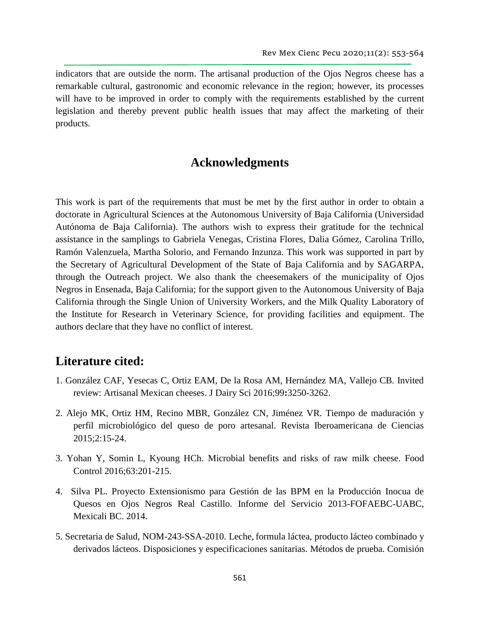indicators that are outside the norm. The artisanal production of the Ojos Negros cheese has a remarkable cultural, gastronomic and economic relevance in the region; however, its processes will have to be improved in order to comply with the requirements established by the current legislation and thereby prevent public health issues that may affect the marketing of their products.

# **Acknowledgments**

This work is part of the requirements that must be met by the first author in order to obtain a doctorate in Agricultural Sciences at the Autonomous University of Baja California (Universidad Autónoma de Baja California). The authors wish to express their gratitude for the technical assistance in the samplings to Gabriela Venegas, Cristina Flores, Dalia Gómez, Carolina Trillo, Ramón Valenzuela, Martha Solorio, and Fernando Inzunza. This work was supported in part by the Secretary of Agricultural Development of the State of Baja California and by SAGARPA, through the Outreach project. We also thank the cheesemakers of the municipality of Ojos Negros in Ensenada, Baja California; for the support given to the Autonomous University of Baja California through the Single Union of University Workers, and the Milk Quality Laboratory of the Institute for Research in Veterinary Science, for providing facilities and equipment. The authors declare that they have no conflict of interest.

### **Literature cited:**

- 1. González CAF, Yesecas C, Ortiz EAM, De la Rosa AM, Hernández MA, Vallejo CB. Invited review: Artisanal Mexican cheeses. J Dairy Sci 2016;99**:**3250-3262.
- 2. Alejo MK, Ortiz HM, Recino MBR, González CN, Jiménez VR. Tiempo de maduración y perfil microbiológico del queso de poro artesanal. Revista Iberoamericana de Ciencias 2015;2:15-24.
- 3. Yohan Y, Somin L, Kyoung HCh. Microbial benefits and risks of raw milk cheese. Food Control 2016;63:201-215.
- 4. Silva PL. Proyecto Extensionismo para Gestión de las BPM en la Producción Inocua de Quesos en Ojos Negros Real Castillo. Informe del Servicio 2013-FOFAEBC-UABC, Mexicali BC. 2014.
- 5. Secretaria de Salud, NOM-243-SSA-2010. Leche, formula láctea, producto lácteo combinado y derivados lácteos. Disposiciones y especificaciones sanitarias. Métodos de prueba. Comisión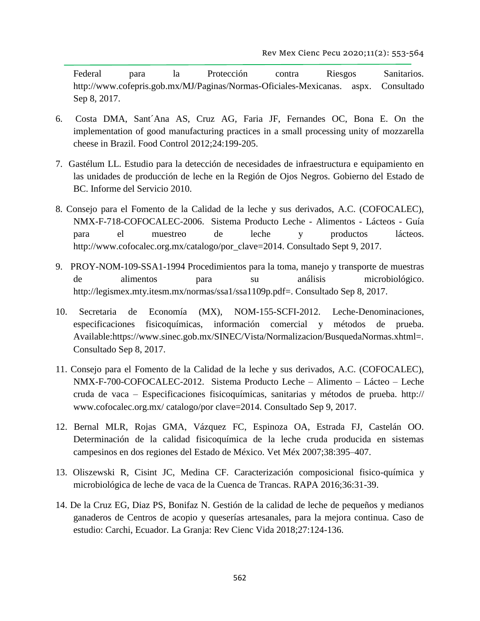Federal para la Protección contra Riesgos Sanitarios. [http://www.cofepris.gob.mx/MJ/Paginas/Normas-Oficiales-Mexicanas. aspx.](http://www.cofepris.gob.mx/MJ/Paginas/Normas-Oficiales-Mexicanas.%20aspx) Consultado Sep 8, 2017.

- 6. Costa DMA, Sant´Ana AS, Cruz AG, Faria JF, Fernandes OC, Bona E. On the implementation of good manufacturing practices in a small processing unity of mozzarella cheese in Brazil. Food Control 2012;24:199-205.
- 7. Gastélum LL. Estudio para la detección de necesidades de infraestructura e equipamiento en las unidades de producción de leche en la Región de Ojos Negros. Gobierno del Estado de BC. Informe del Servicio 2010.
- 8. Consejo para el Fomento de la Calidad de la leche y sus derivados, A.C. (COFOCALEC), NMX-F-718-COFOCALEC-2006. Sistema Producto Leche - Alimentos - Lácteos - Guía para el muestreo de leche y productos lácteos. http:/[/www.cofocalec.org.mx/catalogo/por\\_clave=2014.](http://www.cofocalec.org.mx/catalogo/por_clave=2014) Consultado Sept 9, 2017.
- 9. PROY-NOM-109-SSA1-1994 Procedimientos para la toma, manejo y transporte de muestras de alimentos para su análisis microbiológico. [http://legismex.mty.itesm.mx/normas/ssa1/ssa1109p.pdf=](http://legismex.mty.itesm.mx/normas/ssa1/ssa1109p.pdf). Consultado Sep 8, 2017.
- 10. Secretaria de Economía (MX), NOM-155-SCFI-2012. Leche-Denominaciones, especificaciones fisicoquímicas, información comercial y métodos de prueba. Available:https://www.sinec.gob.mx/SINEC/Vista/Normalizacion/BusquedaNormas.xhtml=. Consultado Sep 8, 2017.
- 11. Consejo para el Fomento de la Calidad de la leche y sus derivados, A.C. (COFOCALEC), NMX-F-700-COFOCALEC-2012. Sistema Producto Leche – Alimento – Lácteo – Leche cruda de vaca – Especificaciones fisicoquímicas, sanitarias y métodos de prueba. http:// www.cofocalec.org.mx/ catalogo/por clave=2014. Consultado Sep 9, 2017.
- 12. Bernal MLR, Rojas GMA, Vázquez FC, Espinoza OA, Estrada FJ, Castelán OO. Determinación de la calidad fisicoquímica de la leche cruda producida en sistemas campesinos en dos regiones del Estado de México. Vet Méx 2007;38:395–407.
- 13. Oliszewski R, Cisint JC, Medina CF. Caracterización composicional fisico-química y microbiológica de leche de vaca de la Cuenca de Trancas. RAPA 2016;36:31-39.
- 14. De la Cruz EG, Diaz PS, Bonifaz N. Gestión de la calidad de leche de pequeños y medianos ganaderos de Centros de acopio y queserías artesanales, para la mejora continua. Caso de estudio: Carchi, Ecuador. La Granja: Rev Cienc Vida 2018;27:124-136.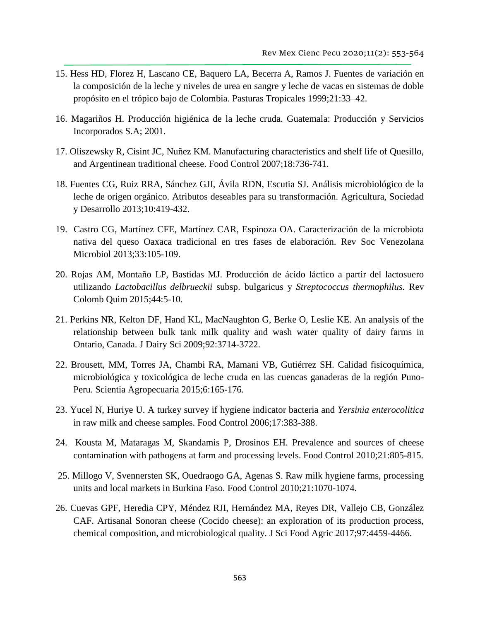- 15. Hess HD, Florez H, Lascano CE, Baquero LA, Becerra A, Ramos J. Fuentes de variación en la composición de la leche y niveles de urea en sangre y leche de vacas en sistemas de doble propósito en el trópico bajo de Colombia. Pasturas Tropicales 1999;21:33–42.
- 16. Magariños H. Producción higiénica de la leche cruda. Guatemala: Producción y Servicios Incorporados S.A; 2001.
- 17. Oliszewsky R, Cisint JC, Nuñez KM. Manufacturing characteristics and shelf life of Quesillo, and Argentinean traditional cheese. Food Control 2007;18:736-741.
- 18. Fuentes CG, Ruiz RRA, Sánchez GJI, Ávila RDN, Escutia SJ. Análisis microbiológico de la leche de origen orgánico. Atributos deseables para su transformación. Agricultura, Sociedad y Desarrollo 2013;10:419-432.
- 19. Castro CG, Martínez CFE, Martínez CAR, Espinoza OA. Caracterización de la microbiota nativa del queso Oaxaca tradicional en tres fases de elaboración. Rev Soc Venezolana Microbiol 2013;33:105-109.
- 20. Rojas AM, Montaño LP, Bastidas MJ. Producción de ácido láctico a partir del lactosuero utilizando *Lactobacillus delbrueckii* subsp. bulgaricus y *Streptococcus thermophilus.* Rev Colomb Quim 2015;44:5-10.
- 21. Perkins NR, Kelton DF, Hand KL, MacNaughton G, Berke O, Leslie KE. An analysis of the relationship between bulk tank milk quality and wash water quality of dairy farms in Ontario, Canada. J Dairy Sci 2009;92:3714-3722.
- 22. Brousett, MM, Torres JA, Chambi RA, Mamani VB, Gutiérrez SH. Calidad fisicoquímica, microbiológica y toxicológica de leche cruda en las cuencas ganaderas de la región Puno-Peru. Scientia Agropecuaria 2015;6:165-176.
- 23. Yucel N, Huriye U. A turkey survey if hygiene indicator bacteria and *Yersinia enterocolitica*  in raw milk and cheese samples. Food Control 2006;17:383-388.
- 24. Kousta M, Mataragas M, Skandamis P, Drosinos EH. Prevalence and sources of cheese contamination with pathogens at farm and processing levels. Food Control 2010;21:805-815.
- 25. Millogo V, Svennersten SK, Ouedraogo GA, Agenas S. Raw milk hygiene farms, processing units and local markets in Burkina Faso. Food Control 2010;21:1070-1074.
- 26. Cuevas GPF, Heredia CPY, Méndez RJI, Hernández MA, Reyes DR, Vallejo CB, González CAF. Artisanal Sonoran cheese (Cocido cheese): an exploration of its production process, chemical composition, and microbiological quality. J Sci Food Agric 2017;97:4459-4466.